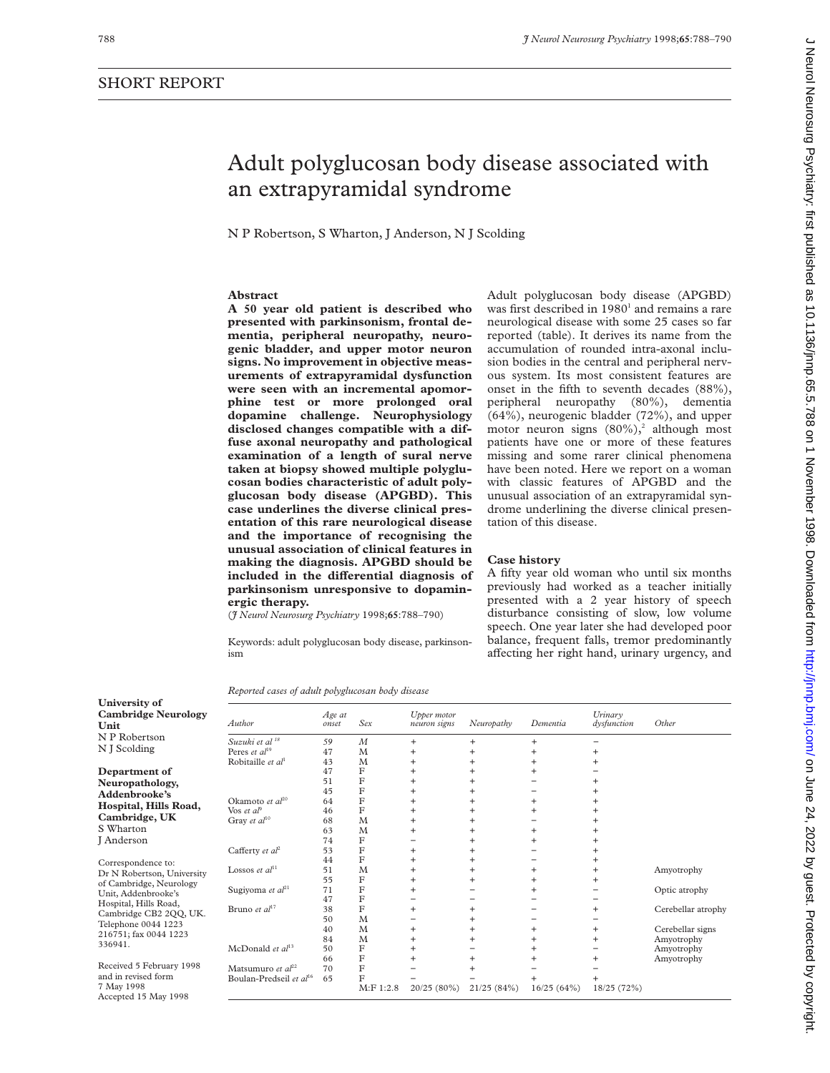# J Neurol Neurosurg Psychiatry: first published as 10.11136/jnnp.65.5.788 on 1 November 1998. Downloaded from http://jnnp.bmj.com/ on June 24, 2022 by guest. Protected by copyright Decreta by guest. Protected by copyright. Http://jnnp.bu/ J Neurol Neurol Neurol Neurol Neurol Neurol Developed as 10.126. November 1999. Sure published as 10.1136/jnnp.bu/ Developed as 10.1136/jnnp.bu/ Developed as 10.113

# Adult polyglucosan body disease associated with an extrapyramidal syndrome

N P Robertson, S Wharton, J Anderson, N J Scolding

## **Abstract**

**A 50 year old patient is described who presented with parkinsonism, frontal dementia, peripheral neuropathy, neurogenic bladder, and upper motor neuron signs. No improvement in objective measurements of extrapyramidal dysfunction were seen with an incremental apomorphine test or more prolonged oral dopamine challenge. Neurophysiology disclosed changes compatible with a diffuse axonal neuropathy and pathological examination of a length of sural nerve taken at biopsy showed multiple polyglucosan bodies characteristic of adult polyglucosan body disease (APGBD). This case underlines the diverse clinical presentation of this rare neurological disease and the importance of recognising the unusual association of clinical features in making the diagnosis. APGBD should be** included in the differential diagnosis of **parkinsonism unresponsive to dopaminergic therapy.**

(*J Neurol Neurosurg Psychiatry* 1998;**65**:788–790)

Keywords: adult polyglucosan body disease, parkinsonism

*Reported cases of adult polyglucosan body disease*

| Author                              | Age at<br>onset | Sex              | Upper motor<br>neuron signs | Neuropathy | Dementia   | Urinary<br>dysfunction | Other              |
|-------------------------------------|-----------------|------------------|-----------------------------|------------|------------|------------------------|--------------------|
| Suzuki et al <sup>18</sup>          | 59              | $\boldsymbol{M}$ | $+$                         | $\ddot{}$  | $+$        |                        |                    |
| Peres et $al^{19}$                  | 47              | M                | $^{+}$                      | $\ddot{}$  | $\ddot{}$  | $\ddot{}$              |                    |
| Robitaille et $al1$                 | 43              | M                | $\ddot{}$                   | $\ddot{}$  | $\ddot{}$  | $\ddot{}$              |                    |
|                                     | 47              | F                | $^{+}$                      | $^{+}$     | $\ddot{}$  |                        |                    |
|                                     | 51              | $\mathbf F$      | $^{+}$                      | $^{+}$     |            | $\ddot{}$              |                    |
|                                     | 45              | F                | $^{+}$                      | $^{+}$     |            | $\ddot{}$              |                    |
| Okamoto et al <sup>20</sup>         | 64              | F                | $\ddot{}$                   | $^{+}$     | $+$        | $\ddot{}$              |                    |
| Vos et $a^{\rho}$                   | 46              | F                | $^{+}$                      | $^{+}$     | $+$        | $\ddot{}$              |                    |
| Gray et al <sup>10</sup>            | 68              | M                | $^{+}$                      | $\ddot{}$  |            | $\ddot{}$              |                    |
|                                     | 63              | M                | $^{+}$                      | $^{+}$     | $+$        | $\ddot{}$              |                    |
|                                     | 74              | F                |                             | $^{+}$     | $+$        | $\ddot{}$              |                    |
| Cafferty et al <sup>2</sup>         | 53              | F                | $\ddot{}$                   | $^{+}$     |            | $\ddot{}$              |                    |
|                                     | 44              | F                | $^{+}$                      | $^{+}$     |            | $\ddot{}$              |                    |
| Lossos et $al11$                    | 51              | M                | $^{+}$                      | $^{+}$     | $+$        | $+$                    | Amyotrophy         |
|                                     | 55              | F                | $^{+}$                      | $^{+}$     | $+$        | $\ddot{}$              |                    |
| Sugiyoma et al <sup>21</sup>        | 71              | F                | $^{+}$                      |            | $\ddot{}$  |                        | Optic atrophy      |
|                                     | 47              | F                | -                           |            |            |                        |                    |
| Bruno et al <sup>17</sup>           | 38              | F                | $\ddot{}$                   | $^{+}$     |            | $\ddot{}$              | Cerebellar atrophy |
|                                     | 50              | M                |                             | $^{+}$     |            |                        |                    |
|                                     | 40              | M                | $\ddot{}$                   | $^{+}$     | $+$        | $+$                    | Cerebellar signs   |
|                                     | 84              | M                | $^{+}$                      | $^{+}$     | $+$        | $\ddot{}$              | Amyotrophy         |
| McDonald et $al13$                  | 50              | F                | $\ddot{}$                   |            | $+$        |                        | Amyotrophy         |
|                                     | 66              | F                | $^{+}$                      | $^{+}$     | $\ddot{}$  | $^{+}$                 | Amyotrophy         |
| Matsumuro et al <sup>22</sup>       | 70              | F                |                             | $\ddot{}$  |            |                        |                    |
| Boulan-Predseil et al <sup>16</sup> | 65              | F                |                             |            | $\ddot{}$  |                        |                    |
|                                     |                 | $M:$ F 1:2.8     | 20/25(80%)                  | 21/25(84%) | 16/25(64%) | 18/25 (72%)            |                    |

**University of Cambridge Neurology Unit** N P Robertson N J Scolding

**Department of Neuropathology, Addenbrooke's Hospital, Hills Road, Cambridge, UK** S Wharton J Anderson

Correspondence to: Dr N Robertson, University of Cambridge, Neurology Unit, Addenbrooke's Hospital, Hills Road, Cambridge CB2 2QQ, UK. Telephone 0044 1223 216751; fax 0044 1223 336941.

Received 5 February 1998 and in revised form 7 May 1998 Accepted 15 May 1998

Adult polyglucosan body disease (APGBD) was first described in 1980<sup>1</sup> and remains a rare neurological disease with some 25 cases so far reported (table). It derives its name from the accumulation of rounded intra-axonal inclusion bodies in the central and peripheral nervous system. Its most consistent features are onset in the fifth to seventh decades (88%), peripheral neuropathy (80%), dementia (64%), neurogenic bladder (72%), and upper motor neuron signs  $(80\%)$ , although most patients have one or more of these features missing and some rarer clinical phenomena have been noted. Here we report on a woman with classic features of APGBD and the unusual association of an extrapyramidal syndrome underlining the diverse clinical presentation of this disease.

### **Case history**

A fifty year old woman who until six months previously had worked as a teacher initially presented with a 2 year history of speech disturbance consisting of slow, low volume speech. One year later she had developed poor balance, frequent falls, tremor predominantly affecting her right hand, urinary urgency, and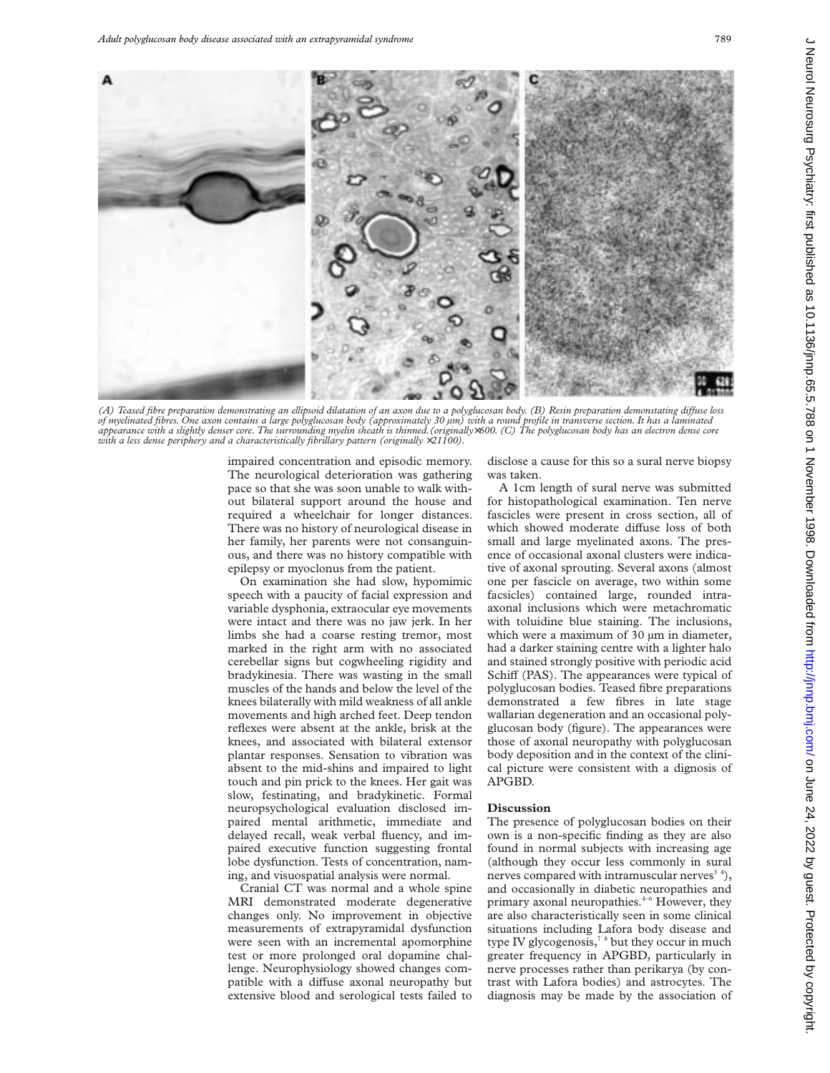

*(A) Teased fibre preparation demonstrating an ellipsoid dilatation of an axon due to a polyglucosan body. (B) Resin preparation demonstating diVuse loss of myelinated fibres. One axon contains a large polyglucosan body (approximately 30 µm) with a round profile in transverse section. It has a laminated appearance with a slightly denser core. The surrounding myelin sheath is thinned.(originally*×*600. (C) The polyglucosan body has an electron dense core with a less dense periphery and a characteristically fibrillary pattern (originally*  $\times$ 21100).

impaired concentration and episodic memory. The neurological deterioration was gathering pace so that she was soon unable to walk without bilateral support around the house and required a wheelchair for longer distances. There was no history of neurological disease in her family, her parents were not consanguinous, and there was no history compatible with epilepsy or myoclonus from the patient.

On examination she had slow, hypomimic speech with a paucity of facial expression and variable dysphonia, extraocular eye movements were intact and there was no jaw jerk. In her limbs she had a coarse resting tremor, most marked in the right arm with no associated cerebellar signs but cogwheeling rigidity and bradykinesia. There was wasting in the small muscles of the hands and below the level of the knees bilaterally with mild weakness of all ankle movements and high arched feet. Deep tendon reflexes were absent at the ankle, brisk at the knees, and associated with bilateral extensor plantar responses. Sensation to vibration was absent to the mid-shins and impaired to light touch and pin prick to the knees. Her gait was slow, festinating, and bradykinetic. Formal neuropsychological evaluation disclosed impaired mental arithmetic, immediate and delayed recall, weak verbal fluency, and impaired executive function suggesting frontal lobe dysfunction. Tests of concentration, naming, and visuospatial analysis were normal.

Cranial CT was normal and a whole spine MRI demonstrated moderate degenerative changes only. No improvement in objective measurements of extrapyramidal dysfunction were seen with an incremental apomorphine test or more prolonged oral dopamine challenge. Neurophysiology showed changes compatible with a diffuse axonal neuropathy but extensive blood and serological tests failed to disclose a cause for this so a sural nerve biopsy was taken.

A 1cm length of sural nerve was submitted for histopathological examination. Ten nerve fascicles were present in cross section, all of which showed moderate diffuse loss of both small and large myelinated axons. The presence of occasional axonal clusters were indicative of axonal sprouting. Several axons (almost one per fascicle on average, two within some facsicles) contained large, rounded intraaxonal inclusions which were metachromatic with toluidine blue staining. The inclusions, which were a maximum of 30  $\mu$ m in diameter, had a darker staining centre with a lighter halo and stained strongly positive with periodic acid Schiff (PAS). The appearances were typical of polyglucosan bodies. Teased fibre preparations demonstrated a few fibres in late stage wallarian degeneration and an occasional polyglucosan body (figure). The appearances were those of axonal neuropathy with polyglucosan body deposition and in the context of the clinical picture were consistent with a dignosis of APGBD.

## **Discussion**

The presence of polyglucosan bodies on their own is a non-specific finding as they are also found in normal subjects with increasing age (although they occur less commonly in sural nerves compared with intramuscular nerves<sup> $3-4$ </sup>), and occasionally in diabetic neuropathies and primary axonal neuropathies.<sup>4-6</sup> However, they are also characteristically seen in some clinical situations including Lafora body disease and type IV glycogenosis, $78$  but they occur in much greater frequency in APGBD, particularly in nerve processes rather than perikarya (by contrast with Lafora bodies) and astrocytes. The diagnosis may be made by the association of